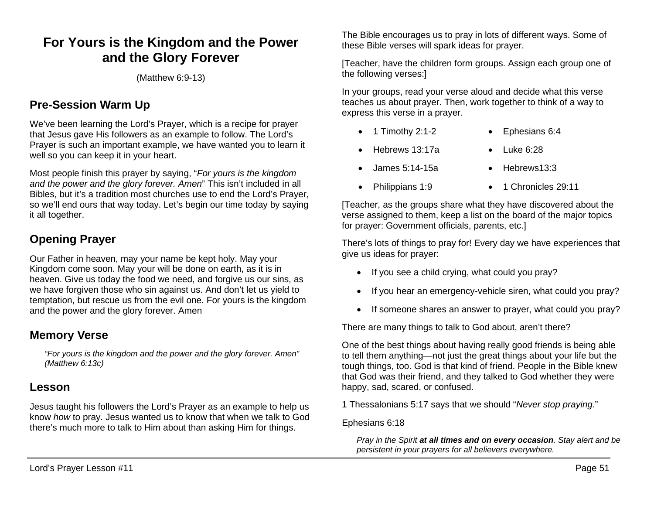# **For Yours is the Kingdom and the Power and the Glory Forever**

(Matthew 6:9-13)

# **Pre-Session Warm Up**

We've been learning the Lord's Prayer, which is a recipe for prayer that Jesus gave His followers as an example to follow. The Lord's Prayer is such an important example, we have wanted you to learn it well so you can keep it in your heart.

Most people finish this prayer by saying, "*For yours is the kingdom and the power and the glory forever. Amen*" This isn't included in all Bibles, but it's a tradition most churches use to end the Lord's Prayer, so we'll end ours that way today. Let's begin our time today by saying it all together.

# **Opening Prayer**

Our Father in heaven, may your name be kept holy. May your Kingdom come soon. May your will be done on earth, as it is in heaven. Give us today the food we need, and forgive us our sins, as we have forgiven those who sin against us. And don't let us yield to temptation, but rescue us from the evil one. For yours is the kingdom and the power and the glory forever. Amen

## **Memory Verse**

*"For yours is the kingdom and the power and the glory forever. Amen" (Matthew 6:13c)*

## **Lesson**

Jesus taught his followers the Lord's Prayer as an example to help us know *how* to pray. Jesus wanted us to know that when we talk to God there's much more to talk to Him about than asking Him for things.

The Bible encourages us to pray in lots of different ways. Some of these Bible verses will spark ideas for prayer.

[Teacher, have the children form groups. Assign each group one of the following verses:]

In your groups, read your verse aloud and decide what this verse teaches us about prayer. Then, work together to think of a way to express this verse in a prayer.

- 1 Timothy 2:1-2 Ephesians 6:4
- Hebrews 13:17a Luke 6:28
- James 5:14-15a Hebrews13:3
	-
	- Philippians 1:9 1 Chronicles 29:11

[Teacher, as the groups share what they have discovered about the verse assigned to them, keep a list on the board of the major topics for prayer: Government officials, parents, etc.]

There's lots of things to pray for! Every day we have experiences that give us ideas for prayer:

- If you see a child crying, what could you pray?
- If you hear an emergency-vehicle siren, what could you pray?
- If someone shares an answer to prayer, what could you pray?

There are many things to talk to God about, aren't there?

One of the best things about having really good friends is being able to tell them anything—not just the great things about your life but the tough things, too. God is that kind of friend. People in the Bible knew that God was their friend, and they talked to God whether they were happy, sad, scared, or confused.

1 Thessalonians 5:17 says that we should "*Never stop praying*."

#### Ephesians 6:18

*Pray in the Spirit at all times and on every occasion. Stay alert and be persistent in your prayers for all believers everywhere.*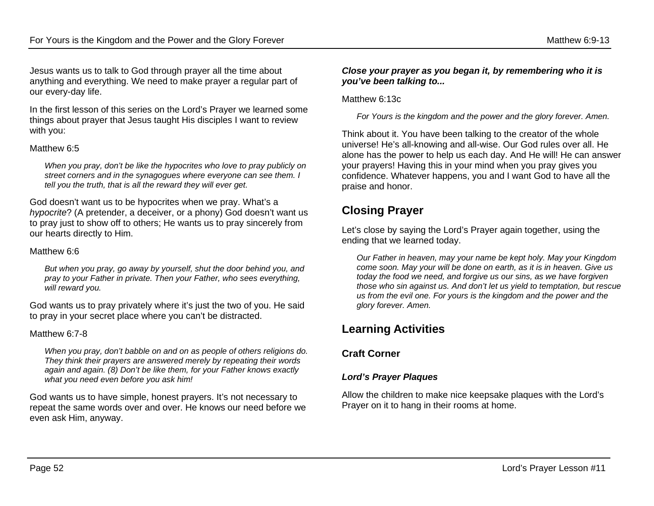Jesus wants us to talk to God through prayer all the time about anything and everything. We need to make prayer a regular part of our every-day life.

In the first lesson of this series on the Lord's Prayer we learned some things about prayer that Jesus taught His disciples I want to review with you:

#### Matthew 6:5

*When you pray, don't be like the hypocrites who love to pray publicly on street corners and in the synagogues where everyone can see them. I tell you the truth, that is all the reward they will ever get.*

God doesn't want us to be hypocrites when we pray. What's a *hypocrite*? (A pretender, a deceiver, or a phony) God doesn't want us to pray just to show off to others; He wants us to pray sincerely from our hearts directly to Him.

#### Matthew 6:6

*But when you pray, go away by yourself, shut the door behind you, and pray to your Father in private. Then your Father, who sees everything, will reward you.*

God wants us to pray privately where it's just the two of you. He said to pray in your secret place where you can't be distracted.

#### Matthew 6:7-8

*When you pray, don't babble on and on as people of others religions do. They think their prayers are answered merely by repeating their words again and again. (8) Don't be like them, for your Father knows exactly what you need even before you ask him!*

God wants us to have simple, honest prayers. It's not necessary to repeat the same words over and over. He knows our need before we even ask Him, anyway.

#### *Close your prayer as you began it, by remembering who it is you've been talking to...*

#### Matthew 6:13c

*For Yours is the kingdom and the power and the glory forever. Amen.*

Think about it. You have been talking to the creator of the whole universe! He's all-knowing and all-wise. Our God rules over all. He alone has the power to help us each day. And He will! He can answer your prayers! Having this in your mind when you pray gives you confidence. Whatever happens, you and I want God to have all the praise and honor.

## **Closing Prayer**

Let's close by saying the Lord's Prayer again together, using the ending that we learned today.

*Our Father in heaven, may your name be kept holy. May your Kingdom come soon. May your will be done on earth, as it is in heaven. Give us today the food we need, and forgive us our sins, as we have forgiven those who sin against us. And don't let us yield to temptation, but rescue us from the evil one. For yours is the kingdom and the power and the glory forever. Amen.*

# **Learning Activities**

### **Craft Corner**

### *Lord's Prayer Plaques*

Allow the children to make nice keepsake plaques with the Lord's Prayer on it to hang in their rooms at home.